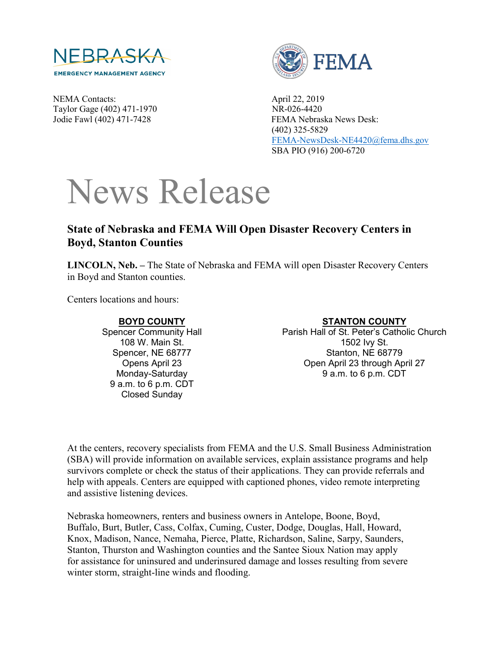

NEMA Contacts: April 22, 2019 Taylor Gage (402) 471-1970 NR-026-4420



Jodie Fawl (402) 471-7428 FEMA Nebraska News Desk: (402) 325-5829 [FEMA-NewsDesk-NE4420@fema.dhs.gov](mailto:FEMA-NewsDesk-NE4420@fema.dhs.gov) SBA PIO (916) 200-6720

# News Release

## **State of Nebraska and FEMA Will Open Disaster Recovery Centers in Boyd, Stanton Counties**

**LINCOLN, Neb. –** The State of Nebraska and FEMA will open Disaster Recovery Centers in Boyd and Stanton counties.

Centers locations and hours:

#### **BOYD COUNTY**

Spencer Community Hall 108 W. Main St. Spencer, NE 68777 Opens April 23 Monday-Saturday 9 a.m. to 6 p.m. CDT Closed Sunday

### **STANTON COUNTY**

Parish Hall of St. Peter's Catholic Church 1502 Ivy St. Stanton, NE 68779 Open April 23 through April 27 9 a.m. to 6 p.m. CDT

At the centers, recovery specialists from FEMA and the U.S. Small Business Administration (SBA) will provide information on available services, explain assistance programs and help survivors complete or check the status of their applications. They can provide referrals and help with appeals. Centers are equipped with captioned phones, video remote interpreting and assistive listening devices.

Nebraska homeowners, renters and business owners in Antelope, Boone, Boyd, Buffalo, Burt, Butler, Cass, Colfax, Cuming, Custer, Dodge, Douglas, Hall, Howard, Knox, Madison, Nance, Nemaha, Pierce, Platte, Richardson, Saline, Sarpy, Saunders, Stanton, Thurston and Washington counties and the Santee Sioux Nation may apply for assistance for uninsured and underinsured damage and losses resulting from severe winter storm, straight-line winds and flooding.